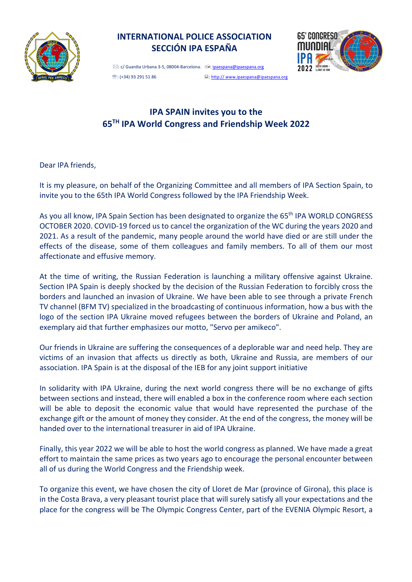

## **INTERNATIONAL POLICE ASSOCIATION SECCIÓN IPA ESPAÑA**



 $\boxtimes$ : c/ Guardia Urbana 3-5, 08004-Barcelona.  $\oplus$ : ipaespana@ipaespana.org  $\mathcal{D}:$  (+34) 93 291 51 86  $\Box$ : http:// www.ipaespana@ipaespana.org

## **IPA SPAIN invites you to the 65TH IPA World Congress and Friendship Week 2022**

Dear IPA friends,

It is my pleasure, on behalf of the Organizing Committee and all members of IPA Section Spain, to invite you to the 65th IPA World Congress followed by the IPA Friendship Week.

As you all know, IPA Spain Section has been designated to organize the 65<sup>th</sup> IPA WORLD CONGRESS OCTOBER 2020. COVID-19 forced us to cancel the organization of the WC during the years 2020 and 2021. As a result of the pandemic, many people around the world have died or are still under the effects of the disease, some of them colleagues and family members. To all of them our most affectionate and effusive memory.

At the time of writing, the Russian Federation is launching a military offensive against Ukraine. Section IPA Spain is deeply shocked by the decision of the Russian Federation to forcibly cross the borders and launched an invasion of Ukraine. We have been able to see through a private French TV channel (BFM TV) specialized in the broadcasting of continuous information, how a bus with the logo of the section IPA Ukraine moved refugees between the borders of Ukraine and Poland, an exemplary aid that further emphasizes our motto, "Servo per amikeco".

Our friends in Ukraine are suffering the consequences of a deplorable war and need help. They are victims of an invasion that affects us directly as both, Ukraine and Russia, are members of our association. IPA Spain is at the disposal of the IEB for any joint support initiative

In solidarity with IPA Ukraine, during the next world congress there will be no exchange of gifts between sections and instead, there will enabled a box in the conference room where each section will be able to deposit the economic value that would have represented the purchase of the exchange gift or the amount of money they consider. At the end of the congress, the money will be handed over to the international treasurer in aid of IPA Ukraine.

Finally, this year 2022 we will be able to host the world congress as planned. We have made a great effort to maintain the same prices as two years ago to encourage the personal encounter between all of us during the World Congress and the Friendship week.

To organize this event, we have chosen the city of Lloret de Mar (province of Girona), this place is in the Costa Brava, a very pleasant tourist place that will surely satisfy all your expectations and the place for the congress will be The Olympic Congress Center, part of the EVENIA Olympic Resort, a